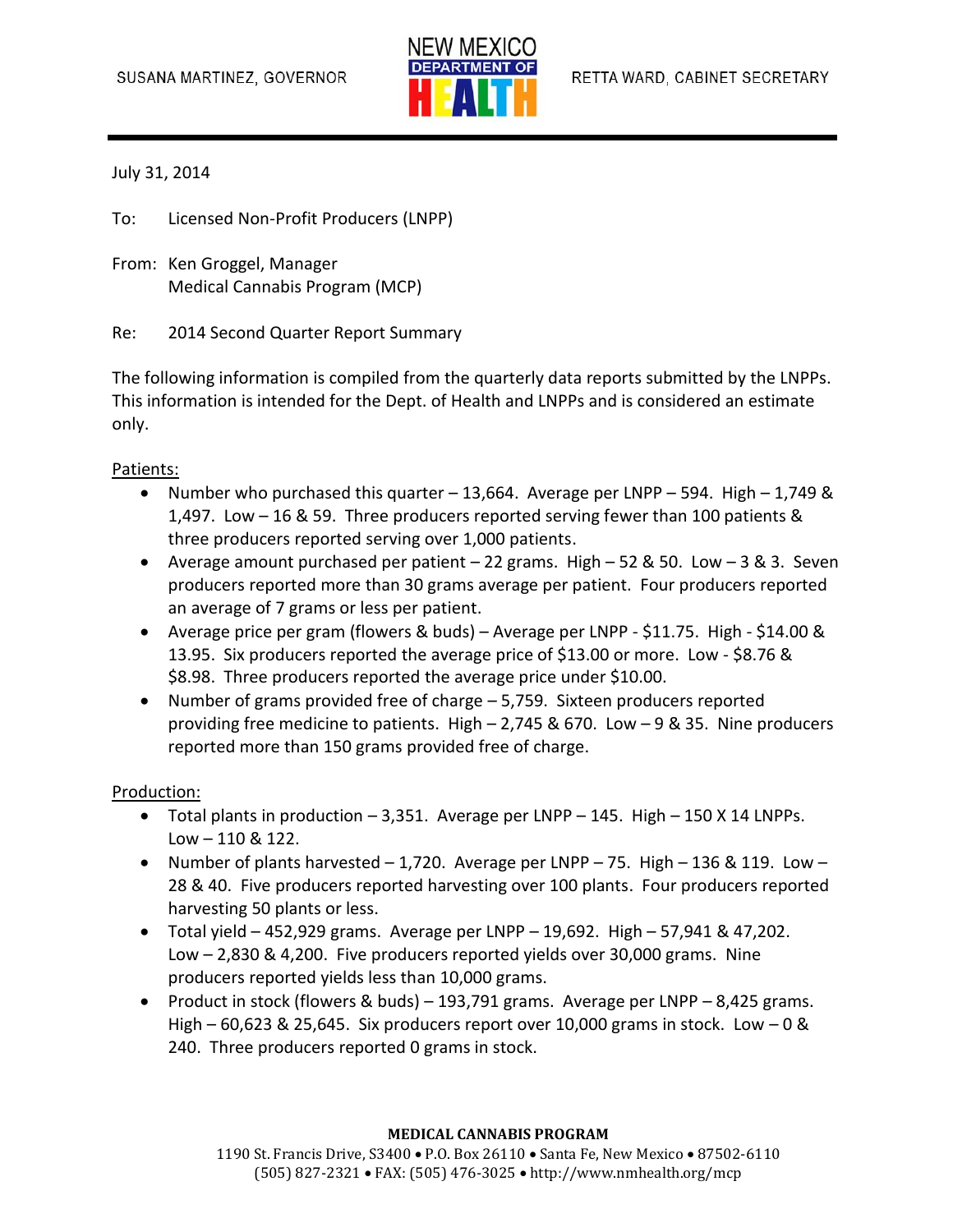

### July 31, 2014

To: Licensed Non-Profit Producers (LNPP)

From: Ken Groggel, Manager Medical Cannabis Program (MCP)

Re: 2014 Second Quarter Report Summary

The following information is compiled from the quarterly data reports submitted by the LNPPs. This information is intended for the Dept. of Health and LNPPs and is considered an estimate only.

### Patients:

- Number who purchased this quarter 13,664. Average per LNPP 594. High 1,749 & 1,497. Low – 16 & 59. Three producers reported serving fewer than 100 patients & three producers reported serving over 1,000 patients.
- Average amount purchased per patient 22 grams. High 52 & 50. Low 3 & 3. Seven producers reported more than 30 grams average per patient. Four producers reported an average of 7 grams or less per patient.
- Average price per gram (flowers & buds) Average per LNPP \$11.75. High \$14.00 & 13.95. Six producers reported the average price of \$13.00 or more. Low - \$8.76 & \$8.98. Three producers reported the average price under \$10.00.
- Number of grams provided free of charge 5,759. Sixteen producers reported providing free medicine to patients. High – 2,745 & 670. Low – 9 & 35. Nine producers reported more than 150 grams provided free of charge.

#### Production:

- $\bullet$  Total plants in production  $-3,351$ . Average per LNPP  $-145$ . High  $-150$  X 14 LNPPs. Low – 110 & 122.
- Number of plants harvested  $-1,720$ . Average per LNPP 75. High 136 & 119. Low 28 & 40. Five producers reported harvesting over 100 plants. Four producers reported harvesting 50 plants or less.
- $\bullet$  Total yield 452,929 grams. Average per LNPP 19,692. High 57,941 & 47,202. Low – 2,830 & 4,200. Five producers reported yields over 30,000 grams. Nine producers reported yields less than 10,000 grams.
- Product in stock (flowers & buds) 193,791 grams. Average per LNPP 8,425 grams. High – 60,623 & 25,645. Six producers report over 10,000 grams in stock. Low – 0 & 240. Three producers reported 0 grams in stock.

#### **MEDICAL CANNABIS PROGRAM**